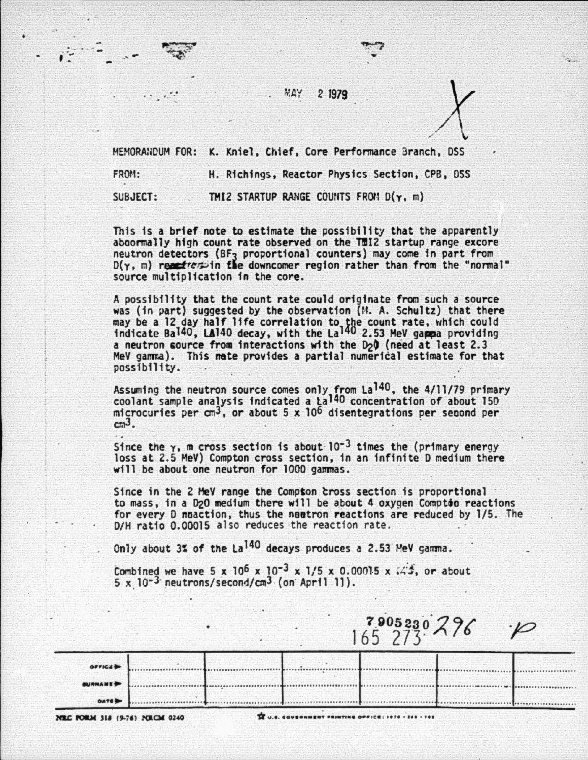**MAY** 2 **1979** 

MEMORANDUM FOR: K. Kniel, Chief, Core Performance Branch, DSS

FROM: H. Richings, Reactor Physics Section, CPB, DSS

 $\cdot$   $\cdot$   $\cdot$   $\cdot$ 

..

*.:\_.-* <sup>~</sup>... -- ·' ... • •

SUBJECT: THIZ STARTUP RANGE COUNTS FROM D(y, m)

This is a brief note to estimate the possibility that the apparently aboormally high count rate observed on the THI2 startup range excore neutron detectors (BF<sub>3</sub> proportional counters) may come in part from  $D(\gamma, m)$  receives in the downcomer region rather than from the "normal" source multiplication in the core.

A possibility that the count rate could originate from such a source was (in part) suggested by the observation  $(M. A.$  Schultz) that there may be a 12 day half life correlation to the count rate, which could indicate Ba<sup>140</sup>, LA<sup>140</sup> decay, with the La<sup>140</sup> 2.53 MeV gamma providing a neutron source from interactions with the D<sub>2</sub>0 (need at least 2.3 MeV gamma). This mate provides a partial numerical estimate for that possibility.

Assuming the neutron source comes only from  $La^{140}$ , the 4/11/79 primary coolant sample analysis indicated a  $La^{140}$  concentration of about 150 microcuries per cm<sup>3</sup>, or about 5 x 10<sup>6</sup> disentegrations per second per  $cm^3$ .

Since the  $\gamma$ , m cross section is about  $10^{-3}$  times the (primary energy loss at 2.5 MeV) Compton cross section, in an infinite D medium there will be about one neutron for 1000 gammas.

Since in the *Z* HeY range the Compton tross section is proportional to mass, in a D<sub>2</sub>O medium there will be about 4 oxygen Comptoo reactions for every D noaction, thus the naatron reactions are reduced by 1/5. The D/H ratio 0.00015 also reduces the reaction rate.

Only about 3% of the  $La^{140}$  decays produces a 2.53 MeV gamma.

Combined we have 5 x 10<sup>6</sup> x 10<sup>-3</sup> x 1/5 x 0.00015 x  $/3$ , or about  $5 \times 10^{-3}$  neutrons/second/cm<sup>3</sup> (on April 11).

|                 |  | 79052307 |  |
|-----------------|--|----------|--|
| <b>OPFICAS</b>  |  |          |  |
| <b>BURNAMES</b> |  |          |  |
| <b>DATES</b>    |  |          |  |

**H&C PORM 318 (9-76) NRCM 0240 <b>X** ... *Seven meer •ninting of Pick:1978 • 155 · 765*